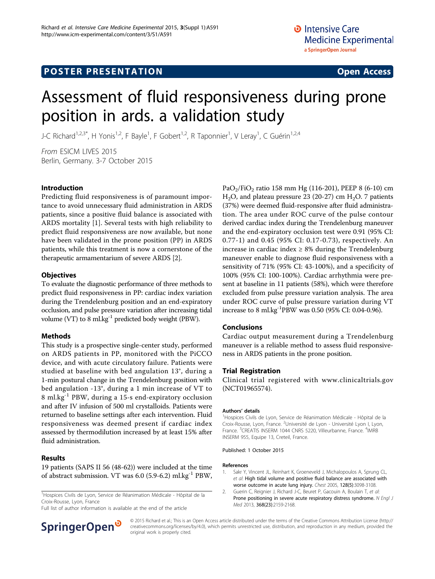# **POSTER PRESENTATION CONSUMING THE SERVICE SERVICE SERVICES**

# Assessment of fluid responsiveness during prone position in ards. a validation study

J-C Richard<sup>1,2,3\*</sup>, H Yonis<sup>1,2</sup>, F Bayle<sup>1</sup>, F Gobert<sup>1,2</sup>, R Taponnier<sup>1</sup>, V Leray<sup>1</sup>, C Guérin<sup>1,2,4</sup>

From ESICM LIVES 2015 Berlin, Germany. 3-7 October 2015

### Introduction

Predicting fluid responsiveness is of paramount importance to avoid unnecessary fluid administration in ARDS patients, since a positive fluid balance is associated with ARDS mortality [1]. Several tests with high reliability to predict fluid responsiveness are now available, but none have been validated in the prone position (PP) in ARDS patients, while this treatment is now a cornerstone of the therapeutic armamentarium of severe ARDS [2].

### **Objectives**

To evaluate the diagnostic performance of three methods to predict fluid responsiveness in PP: cardiac index variation during the Trendelenburg position and an end-expiratory occlusion, and pulse pressure variation after increasing tidal volume (VT) to 8 ml.kg $^{-1}$  predicted body weight (PBW).

## Methods

This study is a prospective single-center study, performed on ARDS patients in PP, monitored with the PiCCO device, and with acute circulatory failure. Patients were studied at baseline with bed angulation 13°, during a 1-min postural change in the Trendelenburg position with bed angulation -13°, during a 1 min increase of VT to 8 ml.kg-1 PBW, during a 15-s end-expiratory occlusion and after IV infusion of 500 ml crystalloids. Patients were returned to baseline settings after each intervention. Fluid responsiveness was deemed present if cardiac index assessed by thermodilution increased by at least 15% after fluid administration.

### Results

19 patients (SAPS II 56 (48-62)) were included at the time of abstract submission. VT was 6.0 (5.9-6.2) ml.kg-1 PBW,

<sup>1</sup>Hospices Civils de Lyon, Service de Réanimation Médicale - Hôpital de la Croix-Rousse, Lyon, France

Full list of author information is available at the end of the article



PaO<sub>2</sub>/FiO<sub>2</sub> ratio 158 mm Hg (116-201), PEEP 8 (6-10) cm  $H<sub>2</sub>O$ , and plateau pressure 23 (20-27) cm  $H<sub>2</sub>O$ . 7 patients (37%) were deemed fluid-responsive after fluid administration. The area under ROC curve of the pulse contour derived cardiac index during the Trendelenburg maneuver and the end-expiratory occlusion test were 0.91 (95% CI: 0.77-1) and 0.45 (95% CI: 0.17-0.73), respectively. An increase in cardiac index  $\geq 8\%$  during the Trendelenburg maneuver enable to diagnose fluid responsiveness with a sensitivity of 71% (95% CI: 43-100%), and a specificity of 100% (95% CI: 100-100%). Cardiac arrhythmia were present at baseline in 11 patients (58%), which were therefore excluded from pulse pressure variation analysis. The area under ROC curve of pulse pressure variation during VT increase to 8 ml.kg-1PBW was 0.50 (95% CI: 0.04-0.96).

## Conclusions

Cardiac output measurement during a Trendelenburg maneuver is a reliable method to assess fluid responsiveness in ARDS patients in the prone position.

### Trial Registration

Clinical trial registered with www.clinicaltrials.gov (NCT01965574).

#### Authors' details <sup>1</sup>

<sup>1</sup>Hospices Civils de Lyon, Service de Réanimation Médicale - Hôpital de la Croix-Rousse, Lyon, France. <sup>2</sup>Université de Lyon - Université Lyon I, Lyon, France. <sup>3</sup>CREATIS INSERM 1044 CNRS 5220, Villeurbanne, France. <sup>4</sup>IMRB INSERM 955, Equipe 13, Creteil, France.

#### Published: 1 October 2015

#### References

- 1. Sakr Y, Vincent JL, Reinhart K, Groeneveld J, Michalopoulos A, Sprung CL, et al: [High tidal volume and positive fluid balance are associated with](http://www.ncbi.nlm.nih.gov/pubmed/16304249?dopt=Abstract) [worse outcome in acute lung injury.](http://www.ncbi.nlm.nih.gov/pubmed/16304249?dopt=Abstract) Chest 2005, 128(5):3098-3108.
- 2. Guerin C, Reignier J, Richard J-C, Beuret P, Gacouin A, Boulain T, et al: [Prone positioning in severe acute respiratory distress syndrome.](http://www.ncbi.nlm.nih.gov/pubmed/23688302?dopt=Abstract) N Engl J Med 2013, 368(23):2159-2168.

© 2015 Richard et al.; This is an Open Access article distributed under the terms of the Creative Commons Attribution License [\(http://](http://creativecommons.org/licenses/by/4.0) [creativecommons.org/licenses/by/4.0](http://creativecommons.org/licenses/by/4.0)), which permits unrestricted use, distribution, and reproduction in any medium, provided the original work is properly cited.